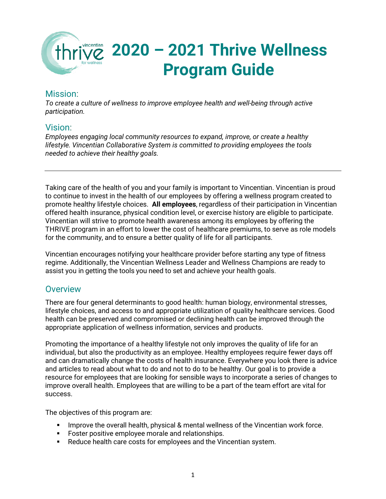

### Mission:

*To create a culture of wellness to improve employee health and well-being through active participation.*

### Vision:

*Employees engaging local community resources to expand, improve, or create a healthy lifestyle. Vincentian Collaborative System is committed to providing employees the tools needed to achieve their healthy goals.*

Taking care of the health of you and your family is important to Vincentian. Vincentian is proud to continue to invest in the health of our employees by offering a wellness program created to promote healthy lifestyle choices. **All employees**, regardless of their participation in Vincentian offered health insurance, physical condition level, or exercise history are eligible to participate. Vincentian will strive to promote health awareness among its employees by offering the THRIVE program in an effort to lower the cost of healthcare premiums, to serve as role models for the community, and to ensure a better quality of life for all participants.

Vincentian encourages notifying your healthcare provider before starting any type of fitness regime. Additionally, the Vincentian Wellness Leader and Wellness Champions are ready to assist you in getting the tools you need to set and achieve your health goals.

### **Overview**

There are four general determinants to good health: human biology, environmental stresses, lifestyle choices, and access to and appropriate utilization of quality healthcare services. Good health can be preserved and compromised or declining health can be improved through the appropriate application of wellness information, services and products.

Promoting the importance of a healthy lifestyle not only improves the quality of life for an individual, but also the productivity as an employee. Healthy employees require fewer days off and can dramatically change the costs of health insurance. Everywhere you look there is advice and articles to read about what to do and not to do to be healthy. Our goal is to provide a resource for employees that are looking for sensible ways to incorporate a series of changes to improve overall health. Employees that are willing to be a part of the team effort are vital for success.

The objectives of this program are:

- **IMPROVE THE OVER 19 IMPLE 12 IMPLE 12 IMPLE IN A THE VINCENT IMPLE 10** IMPLE 1. IMPLE 1. IMPLE 1. IMPLE 1. IMPLE 1
- **Foster positive employee morale and relationships.**
- Reduce health care costs for employees and the Vincentian system.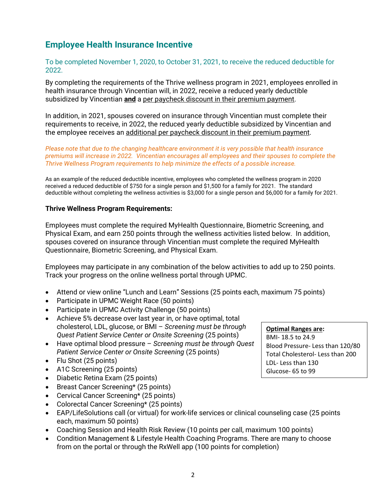### **Employee Health Insurance Incentive**

To be completed November 1, 2020, to October 31, 2021, to receive the reduced deductible for 2022.

By completing the requirements of the Thrive wellness program in 2021, employees enrolled in health insurance through Vincentian will, in 2022, receive a reduced yearly deductible subsidized by Vincentian **and** a per paycheck discount in their premium payment.

In addition, in 2021, spouses covered on insurance through Vincentian must complete their requirements to receive, in 2022, the reduced yearly deductible subsidized by Vincentian and the employee receives an additional per paycheck discount in their premium payment.

*Please note that due to the changing healthcare environment it is very possible that health insurance premiums will increase in 2022. Vincentian encourages all employees and their spouses to complete the Thrive Wellness Program requirements to help minimize the effects of a possible increase.*

As an example of the reduced deductible incentive, employees who completed the wellness program in 2020 received a reduced deductible of \$750 for a single person and \$1,500 for a family for 2021. The standard deductible without completing the wellness activities is \$3,000 for a single person and \$6,000 for a family for 2021.

#### **Thrive Wellness Program Requirements:**

Employees must complete the required MyHealth Questionnaire, Biometric Screening, and Physical Exam, and earn 250 points through the wellness activities listed below. In addition, spouses covered on insurance through Vincentian must complete the required MyHealth Questionnaire, Biometric Screening, and Physical Exam.

Employees may participate in any combination of the below activities to add up to 250 points. Track your progress on the online wellness portal through UPMC.

- Attend or view online "Lunch and Learn" Sessions (25 points each, maximum 75 points)
- Participate in UPMC Weight Race (50 points)
- Participate in UPMC Activity Challenge (50 points)
- Achieve 5% decrease over last year in, or have optimal, total cholesterol, LDL, glucose, or BMI – *Screening must be through Quest Patient Service Center or Onsite Screening* (25 points)
- Have optimal blood pressure *Screening must be through Quest Patient Service Center or Onsite Screening* (25 points)
- Flu Shot (25 points)
- A1C Screening (25 points)
- Diabetic Retina Exam (25 points)
- Breast Cancer Screening\* (25 points)
- Cervical Cancer Screening\* (25 points)
- Colorectal Cancer Screening\* (25 points)
- EAP/LifeSolutions call (or virtual) for work-life services or clinical counseling case (25 points each, maximum 50 points)
- Coaching Session and Health Risk Review (10 points per call, maximum 100 points)
- Condition Management & Lifestyle Health Coaching Programs. There are many to choose from on the portal or through the RxWell app (100 points for completion)

**Optimal Ranges are:** BMI- 18.5 to 24.9 Blood Pressure- Less than 120/80 Total Cholesterol- Less than 200 LDL- Less than 130 Glucose- 65 to 99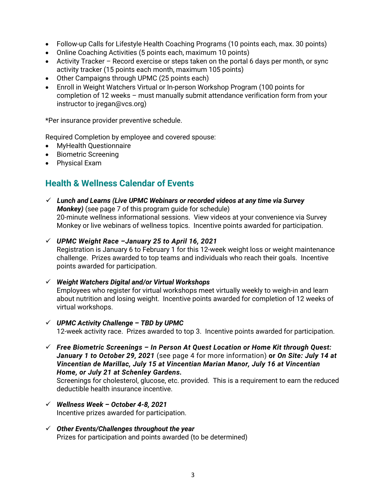- Follow-up Calls for Lifestyle Health Coaching Programs (10 points each, max. 30 points)
- Online Coaching Activities (5 points each, maximum 10 points)
- Activity Tracker Record exercise or steps taken on the portal 6 days per month, or sync activity tracker (15 points each month, maximum 105 points)
- Other Campaigns through UPMC (25 points each)
- Enroll in Weight Watchers Virtual or In-person Workshop Program (100 points for completion of 12 weeks – must manually submit attendance verification form from your instructor to jregan@vcs.org)

\*Per insurance provider preventive schedule.

Required Completion by employee and covered spouse:

- MyHealth Questionnaire
- Biometric Screening
- Physical Exam

## **Health & Wellness Calendar of Events**

- *Lunch and Learns (Live UPMC Webinars or recorded videos at any time via Survey Monkey)* (see page 7 of this program guide for schedule) 20-minute wellness informational sessions. View videos at your convenience via Survey Monkey or live webinars of wellness topics. Incentive points awarded for participation.
- *UPMC Weight Race –January 25 to April 16, 2021* Registration is January 6 to February 1 for this 12-week weight loss or weight maintenance challenge. Prizes awarded to top teams and individuals who reach their goals. Incentive points awarded for participation.
- *Weight Watchers Digital and/or Virtual Workshops* Employees who register for virtual workshops meet virtually weekly to weigh-in and learn about nutrition and losing weight. Incentive points awarded for completion of 12 weeks of virtual workshops.
- *UPMC Activity Challenge – TBD by UPMC* 12-week activity race. Prizes awarded to top 3. Incentive points awarded for participation.
- *Free Biometric Screenings – In Person At Quest Location or Home Kit through Quest: January 1 to October 29, 2021* (see page 4 for more information) **or** *On Site: July 14 at Vincentian de Marillac, July 15 at Vincentian Marian Manor, July 16 at Vincentian Home, or July 21 at Schenley Gardens.*

Screenings for cholesterol, glucose, etc. provided. This is a requirement to earn the reduced deductible health insurance incentive.

- *Wellness Week – October 4-8, 2021* Incentive prizes awarded for participation.
- *Other Events/Challenges throughout the year* Prizes for participation and points awarded (to be determined)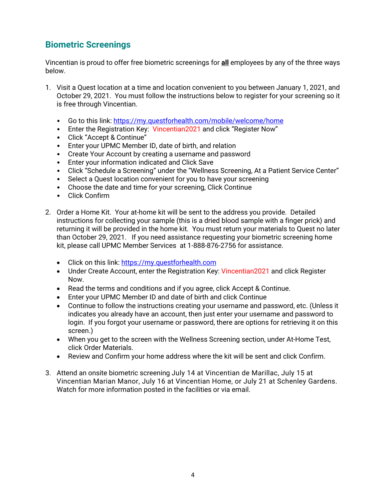## **Biometric Screenings**

Vincentian is proud to offer free biometric screenings for **all** employees by any of the three ways below.

- 1. Visit a Quest location at a time and location convenient to you between January 1, 2021, and October 29, 2021. You must follow the instructions below to register for your screening so it is free through Vincentian.
	- Go to this link:<https://my.questforhealth.com/mobile/welcome/home>
	- Enter the Registration Key: Vincentian 2021 and click "Register Now"
	- Click "Accept & Continue"
	- Enter your UPMC Member ID, date of birth, and relation
	- Create Your Account by creating a username and password
	- Enter your information indicated and Click Save
	- Click "Schedule a Screening" under the "Wellness Screening, At a Patient Service Center"
	- Select a Quest location convenient for you to have your screening
	- Choose the date and time for your screening, Click Continue
	- Click Confirm
- 2. Order a Home Kit. Your at-home kit will be sent to the address you provide. Detailed instructions for collecting your sample (this is a dried blood sample with a finger prick) and returning it will be provided in the home kit. You must return your materials to Quest no later than October 29, 2021. If you need assistance requesting your biometric screening home kit, please call UPMC Member Services at 1-888-876-2756 for assistance.
	- Click on this link[: https://my.questforhealth.com](https://my.questforhealth.com/)
	- Under Create Account, enter the Registration Key: Vincentian2021 and click Register Now.
	- Read the terms and conditions and if you agree, click Accept & Continue.
	- Enter your UPMC Member ID and date of birth and click Continue
	- Continue to follow the instructions creating your username and password, etc. (Unless it indicates you already have an account, then just enter your username and password to login. If you forgot your username or password, there are options for retrieving it on this screen.)
	- When you get to the screen with the Wellness Screening section, under At-Home Test, click Order Materials.
	- Review and Confirm your home address where the kit will be sent and click Confirm.
- 3. Attend an onsite biometric screening July 14 at Vincentian de Marillac, July 15 at Vincentian Marian Manor, July 16 at Vincentian Home, or July 21 at Schenley Gardens. Watch for more information posted in the facilities or via email.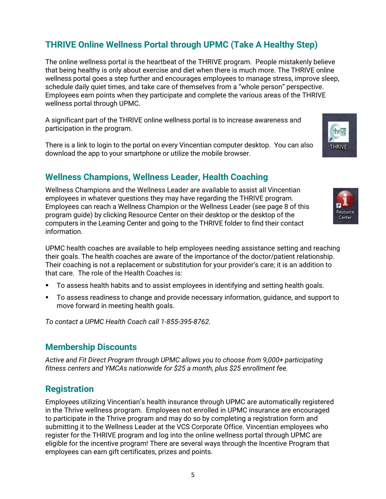## **THRIVE Online Wellness Portal through UPMC (Take A Healthy Step)**

The online wellness portal is the heartbeat of the THRIVE program. People mistakenly believe that being healthy is only about exercise and diet when there is much more. The THRIVE online wellness portal goes a step further and encourages employees to manage stress, improve sleep, schedule daily quiet times, and take care of themselves from a "whole person" perspective. Employees earn points when they participate and complete the various areas of the THRIVE wellness portal through UPMC.

A significant part of the THRIVE online wellness portal is to increase awareness and participation in the program.

There is a link to login to the portal on every Vincentian computer desktop. You can also download the app to your smartphone or utilize the mobile browser.

### **Wellness Champions, Wellness Leader, Health Coaching**

Wellness Champions and the Wellness Leader are available to assist all Vincentian employees in whatever questions they may have regarding the THRIVE program. Employees can reach a Wellness Champion or the Wellness Leader (see page 8 of this program guide) by clicking Resource Center on their desktop or the desktop of the computers in the Learning Center and going to the THRIVE folder to find their contact information.

UPMC health coaches are available to help employees needing assistance setting and reaching their goals. The health coaches are aware of the importance of the doctor/patient relationship. Their coaching is not a replacement or substitution for your provider's care; it is an addition to that care. The role of the Health Coaches is:

- To assess health habits and to assist employees in identifying and setting health goals.
- To assess readiness to change and provide necessary information, guidance, and support to move forward in meeting health goals.

*To contact a UPMC Health Coach call 1-855-395-8762.*

### **Membership Discounts**

*Active and Fit Direct Program through UPMC allows you to choose from 9,000+ participating fitness centers and YMCAs nationwide for \$25 a month, plus \$25 enrollment fee.*

### **Registration**

Employees utilizing Vincentian's health insurance through UPMC are automatically registered in the Thrive wellness program. Employees not enrolled in UPMC insurance are encouraged to participate in the Thrive program and may do so by completing a registration form and submitting it to the Wellness Leader at the VCS Corporate Office. Vincentian employees who register for the THRIVE program and log into the online wellness portal through UPMC are eligible for the incentive program! There are several ways through the Incentive Program that employees can earn gift certificates, prizes and points.



Center

thrive

**THRIVE**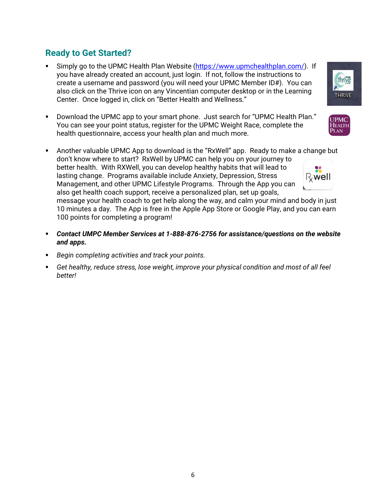## **Ready to Get Started?**

- Simply go to the UPMC Health Plan Website [\(https://www.upmchealthplan.com/\)](https://www.upmchealthplan.com/). If you have already created an account, just login. If not, follow the instructions to create a username and password (you will need your UPMC Member ID#). You can also click on the Thrive icon on any Vincentian computer desktop or in the Learning Center. Once logged in, click on "Better Health and Wellness."
- Download the UPMC app to your smart phone. Just search for "UPMC Health Plan." You can see your point status, register for the UPMC Weight Race, complete the health questionnaire, access your health plan and much more.
- Another valuable UPMC App to download is the "RxWell" app. Ready to make a change but don't know where to start? RxWell by UPMC can help you on your journey to better health. With RXWell, you can develop healthy habits that will lead to lasting change. Programs available include Anxiety, Depression, Stress Rwell Management, and other UPMC Lifestyle Programs. Through the App you can also get health coach support, receive a personalized plan, set up goals, message your health coach to get help along the way, and calm your mind and body in just

10 minutes a day. The App is free in the Apple App Store or Google Play, and you can earn 100 points for completing a program!

- *Contact UMPC Member Services at 1-888-876-2756 for assistance/questions on the website and apps.*
- *Begin completing activities and track your points.*
- *Get healthy, reduce stress, lose weight, improve your physical condition and most of all feel better!*



**UPMC** HEALTH Plan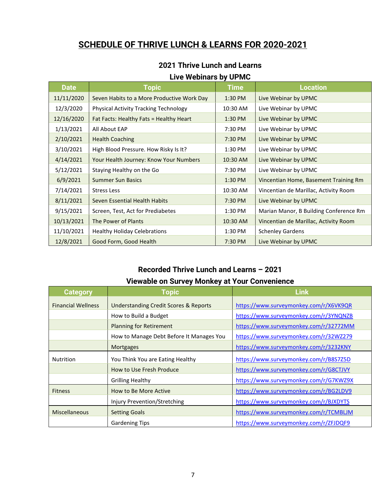## **SCHEDULE OF THRIVE LUNCH & LEARNS FOR 2020-2021**

### **2021 Thrive Lunch and Learns Live Webinars by UPMC**

| <b>Date</b> | <b>Topic</b>                                 | <b>Time</b> | <b>Location</b>                        |
|-------------|----------------------------------------------|-------------|----------------------------------------|
| 11/11/2020  | Seven Habits to a More Productive Work Day   | 1:30 PM     | Live Webinar by UPMC                   |
| 12/3/2020   | <b>Physical Activity Tracking Technology</b> | 10:30 AM    | Live Webinar by UPMC                   |
| 12/16/2020  | Fat Facts: Healthy Fats = Healthy Heart      | 1:30 PM     | Live Webinar by UPMC                   |
| 1/13/2021   | All About EAP                                | 7:30 PM     | Live Webinar by UPMC                   |
| 2/10/2021   | <b>Health Coaching</b>                       | 7:30 PM     | Live Webinar by UPMC                   |
| 3/10/2021   | High Blood Pressure. How Risky Is It?        | 1:30 PM     | Live Webinar by UPMC                   |
| 4/14/2021   | Your Health Journey: Know Your Numbers       | 10:30 AM    | Live Webinar by UPMC                   |
| 5/12/2021   | Staying Healthy on the Go                    | 7:30 PM     | Live Webinar by UPMC                   |
| 6/9/2021    | <b>Summer Sun Basics</b>                     | 1:30 PM     | Vincentian Home, Basement Training Rm  |
| 7/14/2021   | <b>Stress Less</b>                           | 10:30 AM    | Vincentian de Marillac, Activity Room  |
| 8/11/2021   | Seven Essential Health Habits                | 7:30 PM     | Live Webinar by UPMC                   |
| 9/15/2021   | Screen, Test, Act for Prediabetes            | 1:30 PM     | Marian Manor, B Building Conference Rm |
| 10/13/2021  | The Power of Plants                          | 10:30 AM    | Vincentian de Marillac, Activity Room  |
| 11/10/2021  | <b>Healthy Holiday Celebrations</b>          | 1:30 PM     | <b>Schenley Gardens</b>                |
| 12/8/2021   | Good Form, Good Health                       | 7:30 PM     | Live Webinar by UPMC                   |

### **Recorded Thrive Lunch and Learns – 2021 Viewable on Survey Monkey at Your Convenience**

| <b>Category</b>           | <b>Topic</b>                                     | <b>Link</b>                            |
|---------------------------|--------------------------------------------------|----------------------------------------|
| <b>Financial Wellness</b> | <b>Understanding Credit Scores &amp; Reports</b> | https://www.surveymonkey.com/r/X6VK9QR |
|                           | How to Build a Budget                            | https://www.surveymonkey.com/r/3YNQNZB |
|                           | <b>Planning for Retirement</b>                   | https://www.surveymonkey.com/r/32772MM |
|                           | How to Manage Debt Before It Manages You         | https://www.surveymonkey.com/r/32WZ279 |
|                           | <b>Mortgages</b>                                 | https://www.surveymonkey.com/r/3232KNY |
| <b>Nutrition</b>          | You Think You are Eating Healthy                 | https://www.surveymonkey.com/r/B8S7Z5D |
|                           | How to Use Fresh Produce                         | https://www.surveymonkey.com/r/G8CTJVY |
|                           | <b>Grilling Healthy</b>                          | https://www.surveymonkey.com/r/G7KWZ9X |
| <b>Fitness</b>            | How to Be More Active                            | https://www.surveymonkey.com/r/BG2LDV9 |
|                           | Injury Prevention/Stretching                     | https://www.surveymonkey.com/r/BJXDYTS |
| <b>Miscellaneous</b>      | <b>Setting Goals</b>                             | https://www.surveymonkey.com/r/TCMBLJM |
|                           | <b>Gardening Tips</b>                            | https://www.surveymonkey.com/r/ZFJDQF9 |